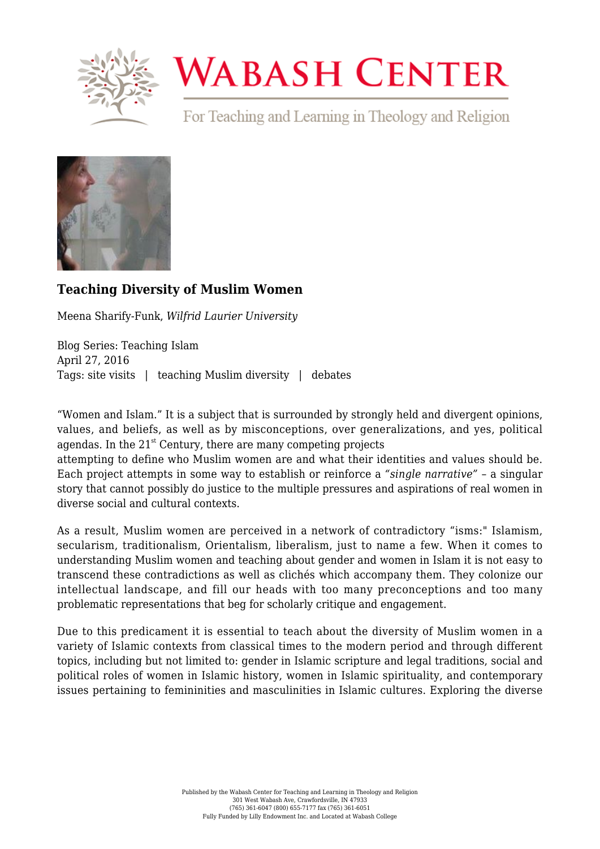

## **WABASH CENTER**

For Teaching and Learning in Theology and Religion



## **[Teaching Diversity of Muslim Women](https://www.wabashcenter.wabash.edu/2016/04/teaching-diversity-of-muslim-women/)**

Meena Sharify-Funk, *Wilfrid Laurier University*

Blog Series: Teaching Islam April 27, 2016 Tags: site visits | teaching Muslim diversity | debates

"Women and Islam." It is a subject that is surrounded by strongly held and divergent opinions, values, and beliefs, as well as by misconceptions, over generalizations, and yes, political agendas. In the  $21<sup>st</sup>$  Century, there are many competing projects

attempting to define who Muslim women are and what their identities and values should be. Each project attempts in some way to establish or reinforce a *"single narrative"* – a singular story that cannot possibly do justice to the multiple pressures and aspirations of real women in diverse social and cultural contexts.

As a result, Muslim women are perceived in a network of contradictory "isms:" Islamism, secularism, traditionalism, Orientalism, liberalism, just to name a few. When it comes to understanding Muslim women and teaching about gender and women in Islam it is not easy to transcend these contradictions as well as clichés which accompany them. They colonize our intellectual landscape, and fill our heads with too many preconceptions and too many problematic representations that beg for scholarly critique and engagement.

Due to this predicament it is essential to teach about the diversity of Muslim women in a variety of Islamic contexts from classical times to the modern period and through different topics, including but not limited to: gender in Islamic scripture and legal traditions, social and political roles of women in Islamic history, women in Islamic spirituality, and contemporary issues pertaining to femininities and masculinities in Islamic cultures. Exploring the diverse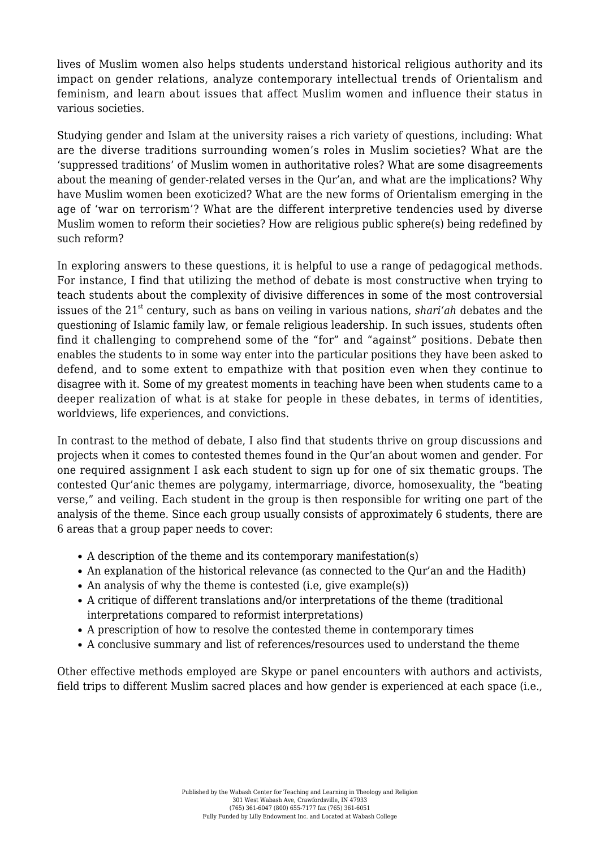lives of Muslim women also helps students understand historical religious authority and its impact on gender relations, analyze contemporary intellectual trends of Orientalism and feminism, and learn about issues that affect Muslim women and influence their status in various societies.

Studying gender and Islam at the university raises a rich variety of questions, including: What are the diverse traditions surrounding women's roles in Muslim societies? What are the 'suppressed traditions' of Muslim women in authoritative roles? What are some disagreements about the meaning of gender-related verses in the Qur'an, and what are the implications? Why have Muslim women been exoticized? What are the new forms of Orientalism emerging in the age of 'war on terrorism'? What are the different interpretive tendencies used by diverse Muslim women to reform their societies? How are religious public sphere(s) being redefined by such reform?

In exploring answers to these questions, it is helpful to use a range of pedagogical methods. For instance, I find that utilizing the method of debate is most constructive when trying to teach students about the complexity of divisive differences in some of the most controversial issues of the 21<sup>st</sup> century, such as bans on veiling in various nations, *shari'ah* debates and the questioning of Islamic family law, or female religious leadership. In such issues, students often find it challenging to comprehend some of the "for" and "against" positions. Debate then enables the students to in some way enter into the particular positions they have been asked to defend, and to some extent to empathize with that position even when they continue to disagree with it. Some of my greatest moments in teaching have been when students came to a deeper realization of what is at stake for people in these debates, in terms of identities, worldviews, life experiences, and convictions.

In contrast to the method of debate, I also find that students thrive on group discussions and projects when it comes to contested themes found in the Qur'an about women and gender. For one required assignment I ask each student to sign up for one of six thematic groups. The contested Qur'anic themes are polygamy, intermarriage, divorce, homosexuality, the "beating verse," and veiling. Each student in the group is then responsible for writing one part of the analysis of the theme. Since each group usually consists of approximately 6 students, there are 6 areas that a group paper needs to cover:

- A description of the theme and its contemporary manifestation(s)
- An explanation of the historical relevance (as connected to the Qur'an and the Hadith)
- An analysis of why the theme is contested (i.e. give example(s))
- A critique of different translations and/or interpretations of the theme (traditional interpretations compared to reformist interpretations)
- A prescription of how to resolve the contested theme in contemporary times
- A conclusive summary and list of references/resources used to understand the theme

Other effective methods employed are Skype or panel encounters with authors and activists, field trips to different Muslim sacred places and how gender is experienced at each space (i.e.,